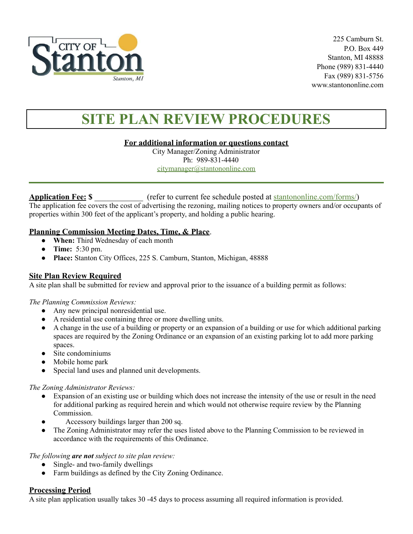

225 Camburn St. P.O. Box 449 Stanton, MI 48888 Phone (989) 831-4440 Fax (989) 831-5756 www.stantononline.com

# **SITE PLAN REVIEW PROCEDURES**

**For additional information or questions contact**

City Manager/Zoning Administrator Ph: 989-831-4440 [citymanager@stantononline.com](mailto:citymanager@stantononline.com)

# **Application Fee: \$**  $($  refer to current fee schedule posted at <u>stantononline.com/forms/</u> $)$

The application fee covers the cost of advertising the rezoning, mailing notices to property owners and/or occupants of properties within 300 feet of the applicant's property, and holding a public hearing.

# **Planning Commission Meeting Dates, Time, & Place**.

- **When:** Third Wednesday of each month
- **Time:** 5:30 pm.
- **Place:** Stanton City Offices, 225 S. Camburn, Stanton, Michigan, 48888

# **Site Plan Review Required**

A site plan shall be submitted for review and approval prior to the issuance of a building permit as follows:

# *The Planning Commission Reviews:*

- Any new principal nonresidential use.
- A residential use containing three or more dwelling units.
- A change in the use of a building or property or an expansion of a building or use for which additional parking spaces are required by the Zoning Ordinance or an expansion of an existing parking lot to add more parking spaces.
- Site condominiums
- Mobile home park
- Special land uses and planned unit developments.

### *The Zoning Administrator Reviews:*

- Expansion of an existing use or building which does not increase the intensity of the use or result in the need for additional parking as required herein and which would not otherwise require review by the Planning Commission.
- Accessory buildings larger than 200 sq.
- The Zoning Administrator may refer the uses listed above to the Planning Commission to be reviewed in accordance with the requirements of this Ordinance.

### *The following are not subject to site plan review:*

- Single- and two-family dwellings
- Farm buildings as defined by the City Zoning Ordinance.

# **Processing Period**

A site plan application usually takes 30 -45 days to process assuming all required information is provided.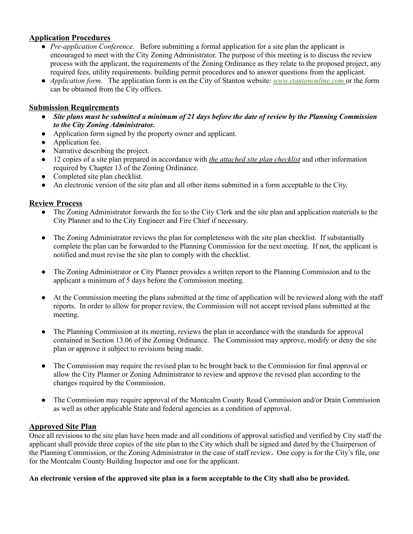# **Application Procedures**

- *Pre-application Conference.* Before submitting a formal application for a site plan the applicant is encouraged to meet with the City Zoning Administrator. The purpose of this meeting is to discuss the review process with the applicant, the requirements of the Zoning Ordinance as they relate to the proposed project, any required fees, utility requirements. building permit procedures and to answer questions from the applicant.
- *Application form*. The application form is on the City of Stanton website: *[www.](http://www.waytwp.org)stantononline.com* or the form can be obtained from the City offices.

# **Submission Requirements**

- Site plans must be submitted a minimum of 21 days before the date of review by the Planning Commission *to the City Zoning Administrator.*
- Application form signed by the property owner and applicant.
- Application fee.
- Narrative describing the project.
- 12 copies of a site plan prepared in accordance with *the attached site plan checklist* and other information required by Chapter 13 of the Zoning Ordinance.
- Completed site plan checklist.
- An electronic version of the site plan and all other items submitted in a form acceptable to the City.

# **Review Process**

- The Zoning Administrator forwards the fee to the City Clerk and the site plan and application materials to the City Planner and to the City Engineer and Fire Chief if necessary.
- The Zoning Administrator reviews the plan for completeness with the site plan checklist. If substantially complete the plan can be forwarded to the Planning Commission for the next meeting. If not, the applicant is notified and must revise the site plan to comply with the checklist.
- The Zoning Administrator or City Planner provides a written report to the Planning Commission and to the applicant a minimum of 5 days before the Commission meeting.
- At the Commission meeting the plans submitted at the time of application will be reviewed along with the staff reports. In order to allow for proper review, the Commission will not accept revised plans submitted at the meeting.
- The Planning Commission at its meeting, reviews the plan in accordance with the standards for approval contained in Section 13.06 of the Zoning Ordinance. The Commission may approve, modify or deny the site plan or approve it subject to revisions being made.
- The Commission may require the revised plan to be brought back to the Commission for final approval or allow the City Planner or Zoning Administrator to review and approve the revised plan according to the changes required by the Commission.
- The Commission may require approval of the Montcalm County Road Commission and/or Drain Commission as well as other applicable State and federal agencies as a condition of approval.

# **Approved Site Plan**

Once all revisions to the site plan have been made and all conditions of approval satisfied and verified by City staff the applicant shall provide three copies of the site plan to the City which shall be signed and dated by the Chairperson of the Planning Commission, or the Zoning Administrator in the case of staff review**.** One copy is for the City's file, one for the Montcalm County Building Inspector and one for the applicant.

# An electronic version of the approved site plan in a form acceptable to the City shall also be provided.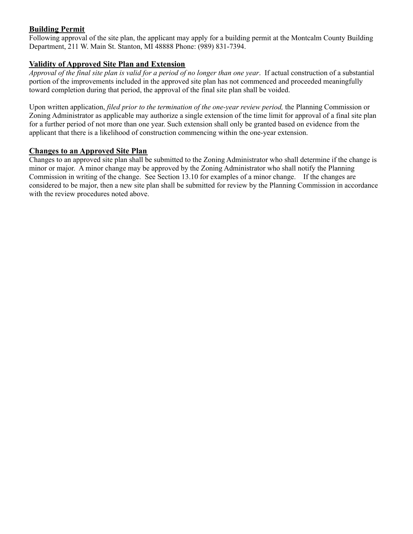# **Building Permit**

Following approval of the site plan, the applicant may apply for a building permit at the Montcalm County Building Department, 211 W. Main St. Stanton, MI 48888 Phone: (989) 831-7394.

# **Validity of Approved Site Plan and Extension**

Approval of the final site plan is valid for a period of no longer than one year. If actual construction of a substantial portion of the improvements included in the approved site plan has not commenced and proceeded meaningfully toward completion during that period, the approval of the final site plan shall be voided.

Upon written application, *filed prior to the termination of the one-year review period,* the Planning Commission or Zoning Administrator as applicable may authorize a single extension of the time limit for approval of a final site plan for a further period of not more than one year. Such extension shall only be granted based on evidence from the applicant that there is a likelihood of construction commencing within the one-year extension.

# **Changes to an Approved Site Plan**

Changes to an approved site plan shall be submitted to the Zoning Administrator who shall determine if the change is minor or major. A minor change may be approved by the Zoning Administrator who shall notify the Planning Commission in writing of the change. See Section 13.10 for examples of a minor change. If the changes are considered to be major, then a new site plan shall be submitted for review by the Planning Commission in accordance with the review procedures noted above.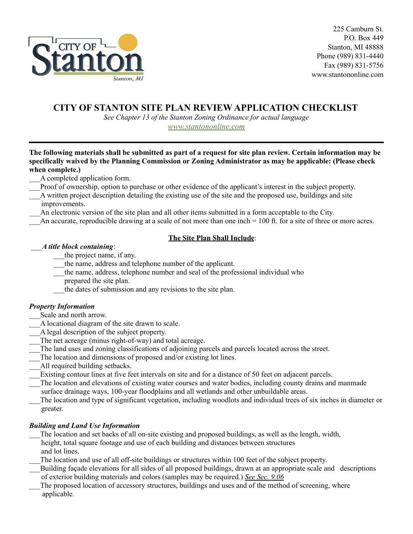

225 Camburn St. P.O. Box 449 Stanton, MI 48888 Phone (989) 831-4440 Fax (989) 831-5756 www.stantononline.com

# **CITY OF STANTON SITE PLAN REVIEW APPLICATION CHECKLIST**

*See Chapter 13 of the Stanton Zoning Ordinance for actual language [www.stantononline.com](http://www.stantononline.com)*

The following materials shall be submitted as part of a request for site plan review. Certain information may be **specifically waived by the Planning Commission or Zoning Administrator as may be applicable: (Please check when complete.)**

- \_\_\_A completed application form.
- \_\_\_Proof of ownership, option to purchase or other evidence of the applicant's interest in the subject property.
- \_\_\_A written project description detailing the existing use of the site and the proposed use, buildings and site improvements.
- \_\_\_An electronic version of the site plan and all other items submitted in a form acceptable to the City.
- An accurate, reproducible drawing at a scale of not more than one inch  $= 100$  ft. for a site of three or more acres.

### **The Site Plan Shall Include**:

# \_\_\_*A title block containing*:

- the project name, if any.
- \_\_\_the name, address and telephone number of the applicant.
- \_\_\_the name, address, telephone number and seal of the professional individual who prepared the site plan.
- the dates of submission and any revisions to the site plan.

# *Property Information*

- Scale and north arrow.
- A locational diagram of the site drawn to scale.
- \_\_\_A legal description of the subject property.
- The net acreage (minus right-of-way) and total acreage.
- The land uses and zoning classifications of adjoining parcels and parcels located across the street.
- The location and dimensions of proposed and/or existing lot lines.
- \_\_\_All required building setbacks.
- Existing contour lines at five feet intervals on site and for a distance of 50 feet on adjacent parcels.
- \_\_\_The location and elevations of existing water courses and water bodies, including county drains and manmade surface drainage ways, 100-year floodplains and all wetlands and other unbuildable areas.
- \_\_\_The location and type of significant vegetation, including woodlots and individual trees of six inches in diameter or greater.

# *Building and Land Use Information*

- The location and set backs of all on-site existing and proposed buildings, as well as the length, width, height, total square footage and use of each building and distances between structures
- and lot lines.
- The location and use of all off-site buildings or structures within 100 feet of the subject property.
- \_\_\_Building façade elevations for all sides of all proposed buildings, drawn at an appropriate scale and descriptions of exterior building materials and colors (samples may be required.) *See Sec. 9.06*
- The proposed location of accessory structures, buildings and uses and of the method of screening, where applicable.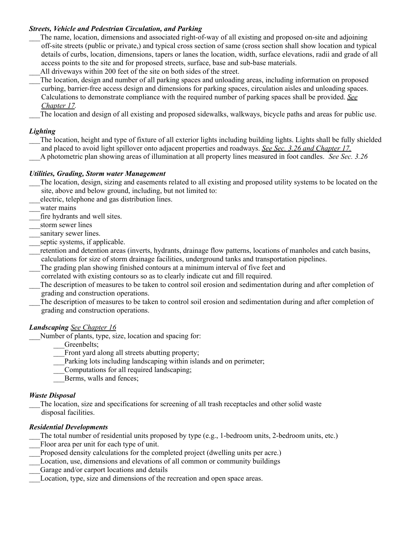# *Streets, Vehicle and Pedestrian Circulation, and Parking*

- \_\_\_The name, location, dimensions and associated right-of-way of all existing and proposed on-site and adjoining off-site streets (public or private,) and typical cross section of same (cross section shall show location and typical details of curbs, location, dimensions, tapers or lanes the location, width, surface elevations, radii and grade of all access points to the site and for proposed streets, surface, base and sub-base materials.
- All driveways within 200 feet of the site on both sides of the street.
	- \_\_\_The location, design and number of all parking spaces and unloading areas, including information on proposed curbing, barrier-free access design and dimensions for parking spaces, circulation aisles and unloading spaces. Calculations to demonstrate compliance with the required number of parking spaces shall be provided. *See Chapter 17.*

\_\_\_The location and design of all existing and proposed sidewalks, walkways, bicycle paths and areas for public use.

# *Lighting*

- \_\_\_The location, height and type of fixture of all exterior lights including building lights. Lights shall be fully shielded and placed to avoid light spillover onto adjacent properties and roadways. *See Sec. 3.26 and Chapter 17.*
- \_\_\_A photometric plan showing areas of illumination at all property lines measured in foot candles. *See Sec. 3.26*

# *Utilities, Grading, Storm water Management*

- \_\_\_The location, design, sizing and easements related to all existing and proposed utility systems to be located on the site, above and below ground, including, but not limited to:
- electric, telephone and gas distribution lines.
- \_\_\_water mains
- fire hydrants and well sites.
- storm sewer lines
- sanitary sewer lines.
- septic systems, if applicable.
- retention and detention areas (inverts, hydrants, drainage flow patterns, locations of manholes and catch basins, calculations for size of storm drainage facilities, underground tanks and transportation pipelines.
- \_\_\_The grading plan showing finished contours at a minimum interval of five feet and
- correlated with existing contours so as to clearly indicate cut and fill required.
- \_\_\_The description of measures to be taken to control soil erosion and sedimentation during and after completion of grading and construction operations.
- \_\_\_The description of measures to be taken to control soil erosion and sedimentation during and after completion of grading and construction operations.

### *Landscaping See Chapter 16*

- Number of plants, type, size, location and spacing for:
	- Greenbelts;
	- Front yard along all streets abutting property;
	- Parking lots including landscaping within islands and on perimeter;
	- \_\_\_Computations for all required landscaping;
	- Berms, walls and fences;

# *Waste Disposal*

\_\_\_The location, size and specifications for screening of all trash receptacles and other solid waste disposal facilities.

# *Residential Developments*

The total number of residential units proposed by type (e.g., 1-bedroom units, 2-bedroom units, etc.)

- Floor area per unit for each type of unit.
- Proposed density calculations for the completed project (dwelling units per acre.)
- Location, use, dimensions and elevations of all common or community buildings
- Garage and/or carport locations and details
- Location, type, size and dimensions of the recreation and open space areas.